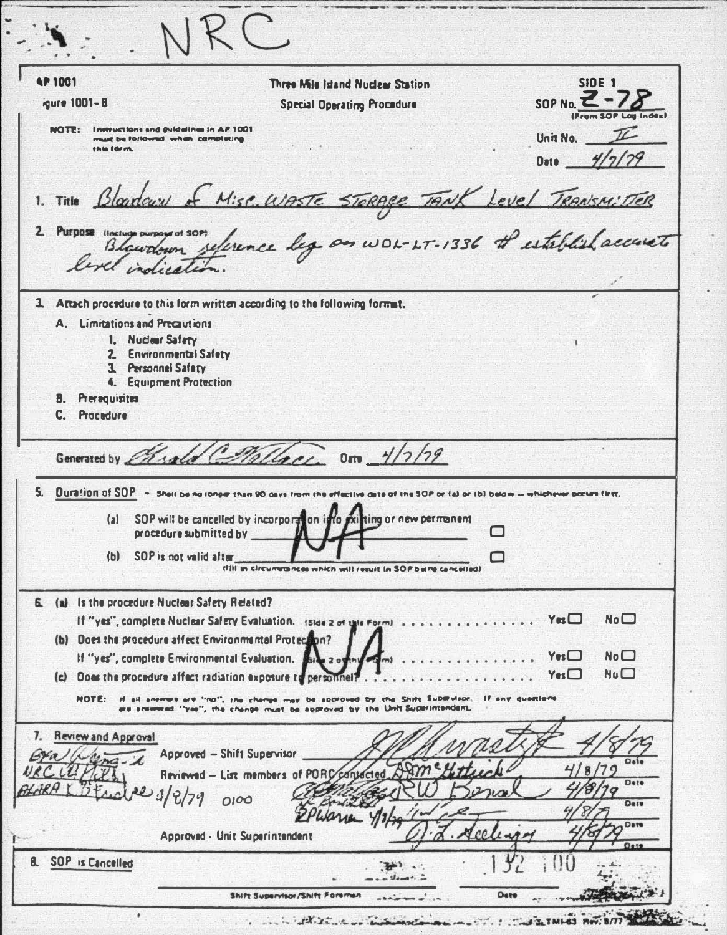| <b>AP 1001</b><br>gure 1001-8                                                                           | Three Mile Island Nuclear Station<br><b>Special Operating Procedure</b>                                                                                                                                                                                                                                                                                                                                                                                                              | <b>SIDE 1</b><br>SOP No. $\leq$ -                                    |
|---------------------------------------------------------------------------------------------------------|--------------------------------------------------------------------------------------------------------------------------------------------------------------------------------------------------------------------------------------------------------------------------------------------------------------------------------------------------------------------------------------------------------------------------------------------------------------------------------------|----------------------------------------------------------------------|
| NOTE: Inmuctions and guidelines in AP 1001<br>must be followed when completing<br>this form.            |                                                                                                                                                                                                                                                                                                                                                                                                                                                                                      | Unit No. $\mathbb{Z}$<br>Date __                                     |
|                                                                                                         | 1. Title Blandau of Mise WASTE STORAGE TANK Level TRANSMITTER                                                                                                                                                                                                                                                                                                                                                                                                                        |                                                                      |
| 2. Purpose (Incluge purpoyer of                                                                         | Blandown reference leg on WDL-LT-1336 + establish accuset                                                                                                                                                                                                                                                                                                                                                                                                                            |                                                                      |
|                                                                                                         | 3. Artach procedure to this form written according to the following formut.                                                                                                                                                                                                                                                                                                                                                                                                          |                                                                      |
| A. Limitations and Precautions                                                                          |                                                                                                                                                                                                                                                                                                                                                                                                                                                                                      |                                                                      |
| 1. Nuclear Safety<br>2. Environmental Safety<br>3. Personnel Safery                                     |                                                                                                                                                                                                                                                                                                                                                                                                                                                                                      |                                                                      |
| 4. Equipment Protection<br><b>B.</b> Prerequisites<br>C. Procedure                                      |                                                                                                                                                                                                                                                                                                                                                                                                                                                                                      |                                                                      |
| Generated by <i>Chald</i> (<br>procedure submitted by<br>SOP is not valid after<br>(b)                  | Dm $\frac{1}{2}$<br>blass<br>5. Duration of SOP - Shell be no longer than 90 days from the effective date of the SOP or (a) or (b) below - whichever occurs first.<br>(a) SOP will be cancelled by incorporation into<br><b>Xilting or new permanent</b><br>(f))) in circumvances which will result in SOP being cancelled?                                                                                                                                                          | ⊓                                                                    |
| 6. (a) Is the procedure Nuclear Safety Related?                                                         | If "yes", complete Nuclear Safety Evaluation. Island of this Formind                                                                                                                                                                                                                                                                                                                                                                                                                 | $Y$ es $\square$<br>No <sub>1</sub>                                  |
| (b) Does the procedure affect Environmental Protection?<br>If "yes", complete Environmental Evaluation. | (c) Does the procedure affect radiation exposure to personnel                                                                                                                                                                                                                                                                                                                                                                                                                        | $Y_{\text{ex}}$<br>No <sub>1</sub><br>$N$ <sub>0</sub> $\Box$<br>Yes |
|                                                                                                         | NOTE: If all answers are "no", the change may be approved by the Shift Supervisor. If any questions<br>are snowwed. "yee", the change must be approved by the Unit Superintendent.                                                                                                                                                                                                                                                                                                   |                                                                      |
| Review and Approval<br>7.                                                                               | Approved - Shift Supervisor<br>Reviewed - List members of PORC<br>1/2/79000                                                                                                                                                                                                                                                                                                                                                                                                          | Date<br>Date<br>Dete                                                 |
|                                                                                                         | Approved - Unit Superintendent                                                                                                                                                                                                                                                                                                                                                                                                                                                       | Oste                                                                 |
| 8. SOP is Cancelled                                                                                     | $\rightarrow$<br>$_{\text{down}}$ .                                                                                                                                                                                                                                                                                                                                                                                                                                                  |                                                                      |
| ٠                                                                                                       | Shift Supervisor/Shift Foreman<br>$\overline{a}$<br>$\mathbf{A} = \begin{bmatrix} \mathbf{A} & \mathbf{A} & \mathbf{A} & \mathbf{A} & \mathbf{A} & \mathbf{A} & \mathbf{A} & \mathbf{A} & \mathbf{A} & \mathbf{A} & \mathbf{A} & \mathbf{A} & \mathbf{A} & \mathbf{A} & \mathbf{A} & \mathbf{A} & \mathbf{A} & \mathbf{A} & \mathbf{A} & \mathbf{A} & \mathbf{A} & \mathbf{A} & \mathbf{A} & \mathbf{A} & \mathbf{A} & \mathbf{A} & \mathbf{A} & \mathbf{A} & \mathbf{A} & \mathbf{$ | Dete                                                                 |

 $\ddot{\cdot}$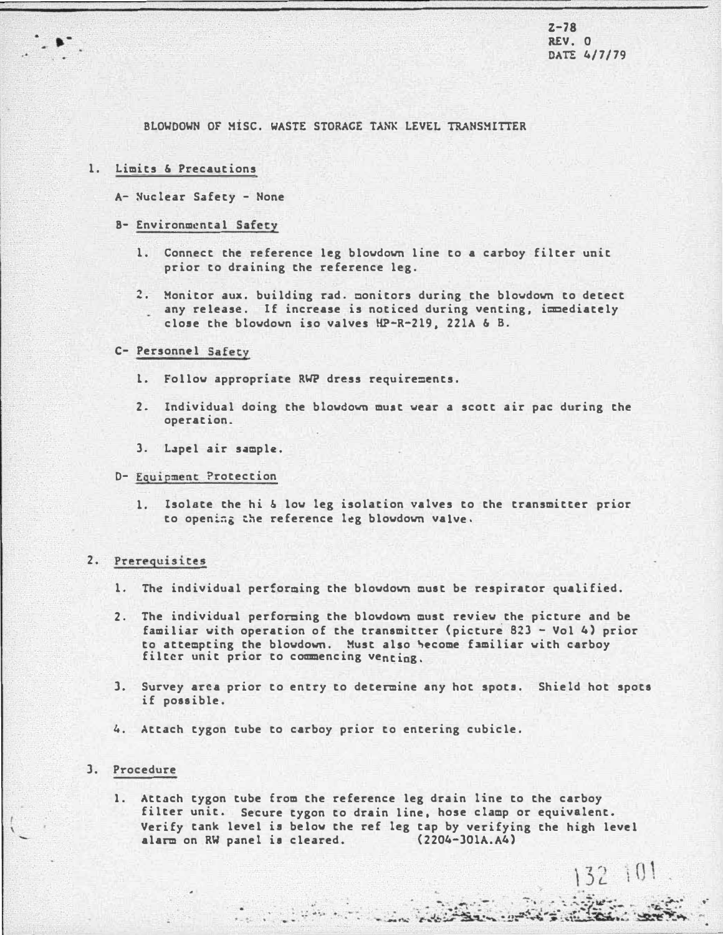$Z - 78$ REV. 0 DATE 4/7/79

 $\bullet$ <sup>-</sup>

 $132, 101$ 

 $-122.65.61$ 

BLOWDOWN OF MISC. WASTE STORAGE TANK LEVEL TRANSMITTER

## 1. Limits & Precautions

A- Nuclear Safety - None

## B- Environmental Safety

- 1. Connect the reference leg blowdovn line to a carboy filter unit prior to draining the reference leg.
- 2. Monitor aux. building rad. monitors during the blowdovn to detect any release. If increase is noticed during venting, immediately close the blowdown iso valves HP-R-219, 221A & B.

### C- Personnel Safetv

- 1. Follow appropriate RWP dress requirements.
- 2. Individual doing the blowdown muat wear a scott air pac during the operation.
- 3. Lapel air sample.

# D- Equipment Protection

1. Isolate the hi & low leg isolation valves to the transmitter prior to opening the reference leg blowdown valve.

## 2. Prerequisites

- 1. The individual perforaing the blowdovn must be respirator qualified.
- 2. The individual perforaing the blowdown must review the picture and be familiar with operation of the transmitter (picture 823 - Vol 4) prior to attempting the blowdown. Must also become familiar with carboy filter unit prior to commencing venting.
- J. Survey area prior to entry to determine any hot spots. Shield hot spots if possible.
- 4. Attach tygon tube to carboy prior to entering cubicle.

 $\frac{1}{2}$  :  $\frac{1}{2}$  :  $\frac{1}{2}$ 

### J. Procedure

1. Attach tygon tube from the reference leg drain line to the carboy filter unit. Secure tygon to drain line, hose clamp or equivalent. Verify tank level is below the ref leg tap by verifying the high level<br>alarm on RW panel is cleared.  $(2204-301A, A4)$ alarm on RW panel is cleared.

N Front St.